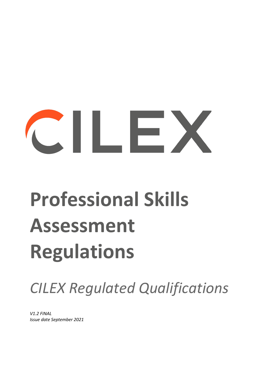# $\sim$  11  $\sim$  1

## **Professional Skills Assessment Regulations**

*CILEX Regulated Qualifications*

*V1.2 FINAL Issue date September 2021*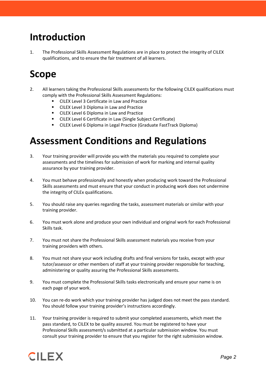#### **Introduction**

1. The Professional Skills Assessment Regulations are in place to protect the integrity of CILEX qualifications, and to ensure the fair treatment of all learners.

#### **Scope**

- 2. All learners taking the Professional Skills assessments for the following CILEX qualifications must comply with the Professional Skills Assessment Regulations:
	- CILEX Level 3 Certificate in Law and Practice
	- **EXACTER Level 3 Diploma in Law and Practice**
	- **EX Level 6 Diploma in Law and Practice**
	- CILEX Level 6 Certificate in Law (Single Subject Certificate)
	- CILEX Level 6 Diploma in Legal Practice (Graduate FastTrack Diploma)

#### **Assessment Conditions and Regulations**

- 3. Your training provider will provide you with the materials you required to complete your assessments and the timelines for submission of work for marking and internal quality assurance by your training provider.
- 4. You must behave professionally and honestly when producing work toward the Professional Skills assessments and must ensure that your conduct in producing work does not undermine the integrity of CILEx qualifications.
- 5. You should raise any queries regarding the tasks, assessment materials or similar with your training provider.
- 6. You must work alone and produce your own individual and original work for each Professional Skills task.
- 7. You must not share the Professional Skills assessment materials you receive from your training providers with others.
- 8. You must not share your work including drafts and final versions for tasks, except with your tutor/assessor or other members of staff at your training provider responsible for teaching, administering or quality assuring the Professional Skills assessments.
- 9. You must complete the Professional Skills tasks electronically and ensure your name is on each page of your work.
- 10. You can re-do work which your training provider has judged does not meet the pass standard. You should follow your training provider's instructions accordingly.
- 11. Your training provider is required to submit your completed assessments, which meet the pass standard, to CILEX to be quality assured. You must be registered to have your Professional Skills assessment/s submitted at a particular submission window. You must consult your training provider to ensure that you register for the right submission window.

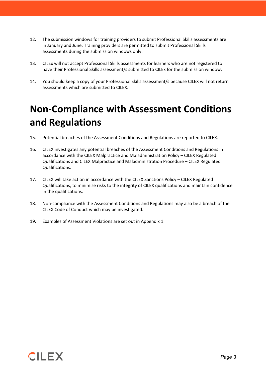- 12. The submission windows for training providers to submit Professional Skills assessments are in January and June. Training providers are permitted to submit Professional Skills assessments during the submission windows only.
- 13. CILEx will not accept Professional Skills assessments for learners who are not registered to have their Professional Skills assessment/s submitted to CILEx for the submission window.
- 14. You should keep a copy of your Professional Skills assessment/s because CILEX will not return assessments which are submitted to CILEX.

### **Non-Compliance with Assessment Conditions and Regulations**

- 15. Potential breaches of the Assessment Conditions and Regulations are reported to CILEX.
- 16. CILEX investigates any potential breaches of the Assessment Conditions and Regulations in accordance with the CILEX Malpractice and Maladministration Policy – CILEX Regulated Qualifications and CILEX Malpractice and Maladministration Procedure – CILEX Regulated Qualifications.
- 17. CILEX will take action in accordance with the CILEX Sanctions Policy CILEX Regulated Qualifications, to minimise risks to the integrity of CILEX qualifications and maintain confidence in the qualifications.
- 18. Non-compliance with the Assessment Conditions and Regulations may also be a breach of the CILEX Code of Conduct which may be investigated.
- 19. Examples of Assessment Violations are set out in Appendix 1.